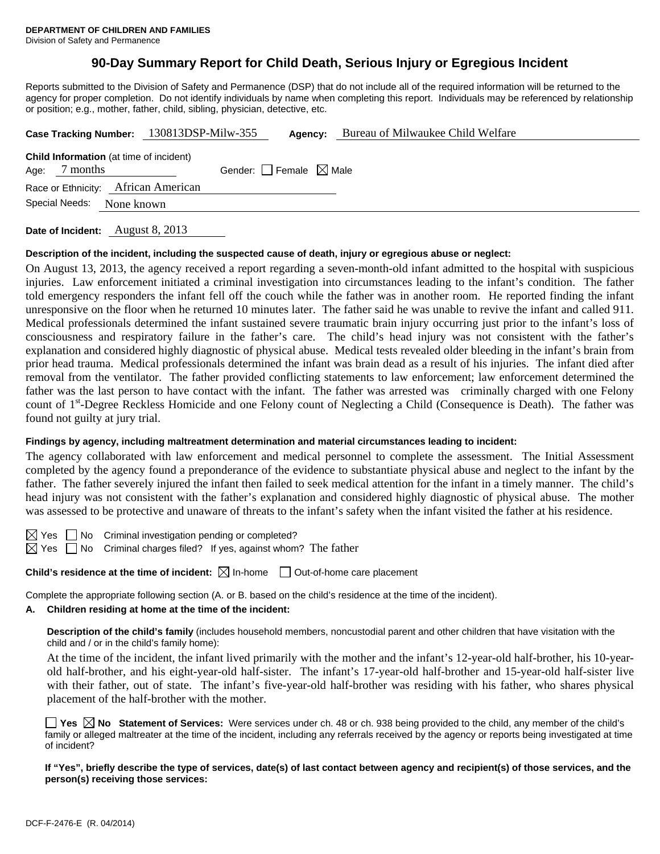# **90-Day Summary Report for Child Death, Serious Injury or Egregious Incident**

Reports submitted to the Division of Safety and Permanence (DSP) that do not include all of the required information will be returned to the agency for proper completion. Do not identify individuals by name when completing this report. Individuals may be referenced by relationship or position; e.g., mother, father, child, sibling, physician, detective, etc.

|                                                                                                       | Case Tracking Number: 130813DSP-Milw-355 | Agency: | Bureau of Milwaukee Child Welfare |  |  |  |
|-------------------------------------------------------------------------------------------------------|------------------------------------------|---------|-----------------------------------|--|--|--|
| <b>Child Information</b> (at time of incident)<br>Gender: Female $\boxtimes$ Male<br>7 months<br>Age: |                                          |         |                                   |  |  |  |
| Race or Ethnicity: African American                                                                   |                                          |         |                                   |  |  |  |
| Special Needs:                                                                                        | None known                               |         |                                   |  |  |  |

**Date of Incident:** August 8, 2013

### **Description of the incident, including the suspected cause of death, injury or egregious abuse or neglect:**

On August 13, 2013, the agency received a report regarding a seven-month-old infant admitted to the hospital with suspicious injuries. Law enforcement initiated a criminal investigation into circumstances leading to the infant's condition. The father told emergency responders the infant fell off the couch while the father was in another room. He reported finding the infant unresponsive on the floor when he returned 10 minutes later. The father said he was unable to revive the infant and called 911. Medical professionals determined the infant sustained severe traumatic brain injury occurring just prior to the infant's loss of consciousness and respiratory failure in the father's care. The child's head injury was not consistent with the father's explanation and considered highly diagnostic of physical abuse. Medical tests revealed older bleeding in the infant's brain from prior head trauma. Medical professionals determined the infant was brain dead as a result of his injuries. The infant died after removal from the ventilator. The father provided conflicting statements to law enforcement; law enforcement determined the father was the last person to have contact with the infant. The father was arrested was criminally charged with one Felony count of 1<sup>st</sup>-Degree Reckless Homicide and one Felony count of Neglecting a Child (Consequence is Death). The father was found not guilty at jury trial.

### **Findings by agency, including maltreatment determination and material circumstances leading to incident:**

The agency collaborated with law enforcement and medical personnel to complete the assessment. The Initial Assessment completed by the agency found a preponderance of the evidence to substantiate physical abuse and neglect to the infant by the father. The father severely injured the infant then failed to seek medical attention for the infant in a timely manner. The child's head injury was not consistent with the father's explanation and considered highly diagnostic of physical abuse. The mother was assessed to be protective and unaware of threats to the infant's safety when the infant visited the father at his residence.

 $\boxtimes$  Yes  $\Box$  No Criminal investigation pending or completed?

 $\boxtimes$  Yes  $\Box$  No Criminal charges filed? If yes, against whom? The father

**Child's residence at the time of incident:**  $\boxtimes$  In-home  $\Box$  Out-of-home care placement

Complete the appropriate following section (A. or B. based on the child's residence at the time of the incident).

#### **A. Children residing at home at the time of the incident:**

**Description of the child's family** (includes household members, noncustodial parent and other children that have visitation with the child and / or in the child's family home):

 At the time of the incident, the infant lived primarily with the mother and the infant's 12-year-old half-brother, his 10-yearold half-brother, and his eight-year-old half-sister. The infant's 17-year-old half-brother and 15-year-old half-sister live with their father, out of state. The infant's five-year-old half-brother was residing with his father, who shares physical placement of the half-brother with the mother.

**Yes No Statement of Services:** Were services under ch. 48 or ch. 938 being provided to the child, any member of the child's family or alleged maltreater at the time of the incident, including any referrals received by the agency or reports being investigated at time of incident?

**If "Yes", briefly describe the type of services, date(s) of last contact between agency and recipient(s) of those services, and the person(s) receiving those services:**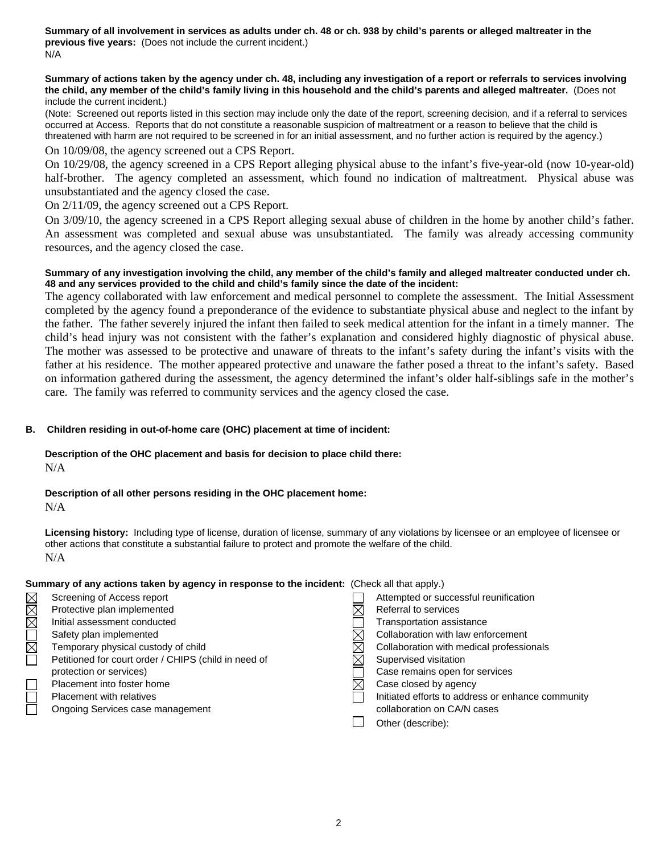**Summary of all involvement in services as adults under ch. 48 or ch. 938 by child's parents or alleged maltreater in the previous five years:** (Does not include the current incident.) N/A

#### **Summary of actions taken by the agency under ch. 48, including any investigation of a report or referrals to services involving the child, any member of the child's family living in this household and the child's parents and alleged maltreater.** (Does not include the current incident.)

(Note: Screened out reports listed in this section may include only the date of the report, screening decision, and if a referral to services occurred at Access. Reports that do not constitute a reasonable suspicion of maltreatment or a reason to believe that the child is threatened with harm are not required to be screened in for an initial assessment, and no further action is required by the agency.)

On 10/09/08, the agency screened out a CPS Report.

On 10/29/08, the agency screened in a CPS Report alleging physical abuse to the infant's five-year-old (now 10-year-old) half-brother. The agency completed an assessment, which found no indication of maltreatment. Physical abuse was unsubstantiated and the agency closed the case.

On 2/11/09, the agency screened out a CPS Report.

On 3/09/10, the agency screened in a CPS Report alleging sexual abuse of children in the home by another child's father. An assessment was completed and sexual abuse was unsubstantiated. The family was already accessing community resources, and the agency closed the case.

### **Summary of any investigation involving the child, any member of the child's family and alleged maltreater conducted under ch. 48 and any services provided to the child and child's family since the date of the incident:**

The agency collaborated with law enforcement and medical personnel to complete the assessment. The Initial Assessment completed by the agency found a preponderance of the evidence to substantiate physical abuse and neglect to the infant by the father. The father severely injured the infant then failed to seek medical attention for the infant in a timely manner. The child's head injury was not consistent with the father's explanation and considered highly diagnostic of physical abuse. The mother was assessed to be protective and unaware of threats to the infant's safety during the infant's visits with the father at his residence. The mother appeared protective and unaware the father posed a threat to the infant's safety. Based on information gathered during the assessment, the agency determined the infant's older half-siblings safe in the mother's care. The family was referred to community services and the agency closed the case.

## **B. Children residing in out-of-home care (OHC) placement at time of incident:**

### **Description of the OHC placement and basis for decision to place child there:** N/A

# **Description of all other persons residing in the OHC placement home:**

N/A

**Licensing history:** Including type of license, duration of license, summary of any violations by licensee or an employee of licensee or other actions that constitute a substantial failure to protect and promote the welfare of the child. N/A

## **Summary of any actions taken by agency in response to the incident:** (Check all that apply.)

|             | Screening of Access report                           | Attempted or successful reunification             |
|-------------|------------------------------------------------------|---------------------------------------------------|
| MMM         | Protective plan implemented                          | Referral to services                              |
|             | Initial assessment conducted                         | Transportation assistance                         |
| $\Box$      | Safety plan implemented                              | Collaboration with law enforcement                |
| $\boxtimes$ | Temporary physical custody of child                  | Collaboration with medical professionals          |
|             | Petitioned for court order / CHIPS (child in need of | Supervised visitation                             |
|             | protection or services)                              | Case remains open for services                    |
|             | Placement into foster home                           | Case closed by agency                             |
|             | Placement with relatives                             | Initiated efforts to address or enhance community |
|             | Ongoing Services case management                     | collaboration on CA/N cases                       |
|             |                                                      | Other (describe):                                 |
|             |                                                      |                                                   |